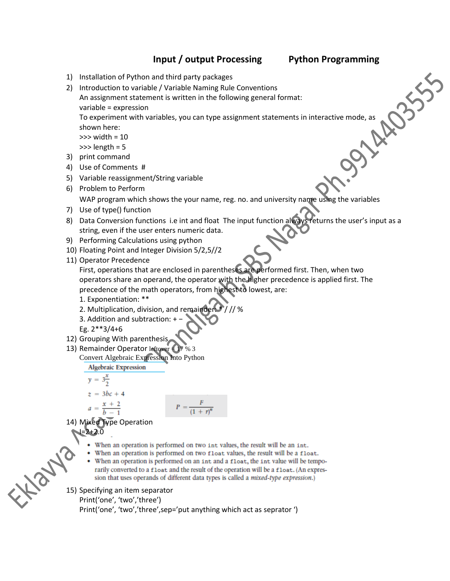# **Input / output Processing Python Programming**

- 1) Installation of Python and third party packages
- 2) Introduction to variable / Variable Naming Rule Conventions An assignment statement is written in the following general format: variable = expression

To experiment with variables, you can type assignment statements in interactive mode, as shown here:

>>> width = 10  $\gg$  length = 5

- 3) print command
- 4) Use of Comments #
- 5) Variable reassignment/String variable
- 6) Problem to Perform

WAP program which shows the your name, reg. no. and university name using the variables

- 7) Use of type() function
- 8) Data Conversion functions i.e int and float The input function always returns the user's input as a string, even if the user enters numeric data.
- 9) Performing Calculations using python
- 10) Floating Point and Integer Division 5/2,5//2
- 11) Operator Precedence

First, operations that are enclosed in parentheses are performed first. Then, when two operators share an operand, the operator with the higher precedence is applied first. The precedence of the math operators, from highest to lowest, are:

- 1. Exponentiation: \*\*
- 2. Multiplication, division, and remainder: ///%
- 3. Addition and subtraction: + −
- Eg. 2\*\*3/4+6
- 12) Grouping With parenthesis
- 13) Remainder Operator leftover 17 % 3 Convert Algebraic Expression Into Python

**Algebraic Expression** 

$$
y = 3\frac{x}{2}
$$
  

$$
z = 3bc +
$$

$$
P = \frac{F}{\left(1 + r\right)^n}
$$

14) Mixed Type Operation  $I=2+2.0$ 

- When an operation is performed on two int values, the result will be an int.
- When an operation is performed on two float values, the result will be a float.
- When an operation is performed on an int and a float, the int value will be temporarily converted to a float and the result of the operation will be a float. (An expression that uses operands of different data types is called a *mixed-type expression*.)

15) Specifying an item separator

Print('one', 'two','three')

Print('one', 'two','three',sep='put anything which act as seprator ')